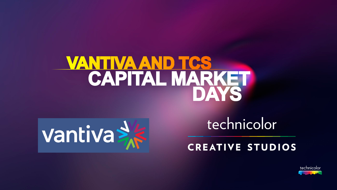# <u>VANTIVA AND TCS</u> CAPITAL MARKET



# technicolor

**CREATIVE STUDIOS** 

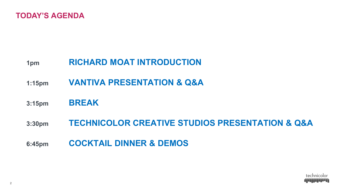

# **1pm RICHARD MOAT INTRODUCTION**

- **1:15pm VANTIVA PRESENTATION & Q&A**
- **3:15pm BREAK**
- **3:30pm TECHNICOLOR CREATIVE STUDIOS PRESENTATION & Q&A**

**6:45pm COCKTAIL DINNER & DEMOS**

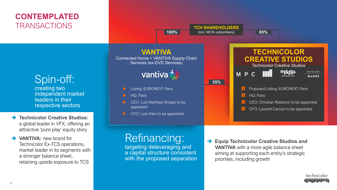# **CONTEMPLATED TRANSACTIONS**

**VANTIVA** Connected Home + VANTIVA Supply Chain Services (ex-DVD Services) **Vantiva** Spin-off: **35%** creating two Listing: EURONEXT Paris independent market HQ: Paris leaders in their CEO: Luis Martinez-Amago to be respective sectors appointed

- **→ Technicolor Creative Studios:** a global leader in VFX, offering an attractive 'pure play' equity story
- **VANTIVA:** new brand for Technicolor Ex-TCS operations, market leader in its segments with a stronger balance sheet, retaining upside exposure to TCS



**TCH SHAREHOLDERS 100%** (incl. MCN subscribers) **65%**

# Refinancing:

targeting deleveraging and a capital structure consistent with the proposed separation  **Equip Technicolor Creative Studios and VANTIVA** with a more agile balance sheet aiming at supporting each entity's strategic priorities, including growth

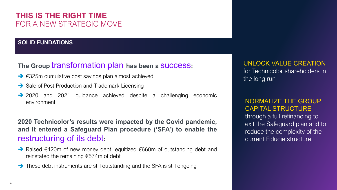# **THIS IS THE RIGHT TIME** FOR A NEW STRATEGIC MOVE

#### **SOLID FUNDATIONS**

## **The Group** transformation plan **has been a** success**:**

- €325m cumulative cost savings plan almost achieved
- Sale of Post Production and Trademark Licensing
- → 2020 and 2021 guidance achieved despite a challenging economic environment

**2020 Technicolor's results were impacted by the Covid pandemic, and it entered a Safeguard Plan procedure ('SFA') to enable the** restructuring of its debt**:**

- → Raised €420m of new money debt, equitized €660m of outstanding debt and reinstated the remaining €574m of debt
- $\rightarrow$  These debt instruments are still outstanding and the SFA is still ongoing

UNLOCK VALUE CREATION for Technicolor shareholders in the long run

#### NORMALIZE THE GROUP CAPITAL STRUCTURE

through a full refinancing to exit the Safeguard plan and to reduce the complexity of the current Fiducie structure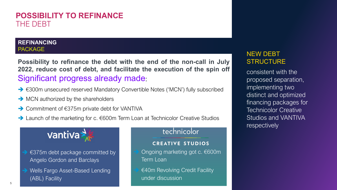# **POSSIBILITY TO REFINANCE** THE DEBT

#### **REFINANCING** PACKAGE

**Possibility to refinance the debt with the end of the non-call in July 2022, reduce cost of debt, and facilitate the execution of the spin off** Significant progress already made:

- €300m unsecured reserved Mandatory Convertible Notes ('MCN') fully subscribed
- $\rightarrow$  MCN authorized by the shareholders
- → Commitment of €375m private debt for VANTIVA
- → Launch of the marketing for c. €600m Term Loan at Technicolor Creative Studios



- €375m debt package committed by Angelo Gordon and Barclays
- Wells Fargo Asset-Based Lending (ABL) Facility

#### technicolor

#### **CREATIVE STUDIOS**

- Ongoing marketing got c. €600m Term Loan
- €40m Revolving Credit Facility under discussion

### NEW DEBT **STRUCTURE**

consistent with the proposed separation, implementing two distinct and optimized financing packages for Technicolor Creative Studios and VANTIVA respectively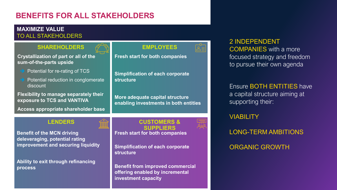# **BENEFITS FOR ALL STAKEHOLDERS**

#### **MAXIMIZE VALUE** TO ALL STAKEHOLDERS

**SHAREHOLDERS**  $\mathcal{P}^{\text{max}}$  **EMPLOYEES** 

**Crystallization of part or all of the sum-of-the-parts upside**

- Potential for re-rating of TCS
- Potential reduction in conglomerate discount

**Flexibility to manage separately their exposure to TCS and VANTIVA**

**Access appropriate shareholder base**

**Benefit of the MCN driving deleveraging, potential rating improvement and securing liquidity**

**Ability to exit through refinancing process**

#### **LENDERS CUSTOMERS & SUPPLIERS Fresh start for both companies**

**Simplification of each corporate structure**

**Benefit from improved commercial offering enabled by incremental investment capacity**

2 INDEPENDENT COMPANIES with a more focused strategy and freedom to pursue their own agenda

#### Ensure BOTH ENTITIES have a capital structure aiming at supporting their:

#### **VIABILITY**

LONG-TERM AMBITIONS ORGANIC GROWTH

**Simplification of each corporate structure**

**Fresh start for both companies**

**More adequate capital structure enabling investments in both entities**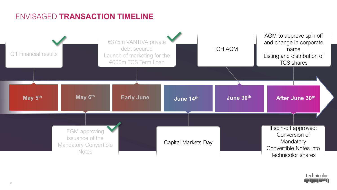# ENVISAGED **TRANSACTION TIMELINE**